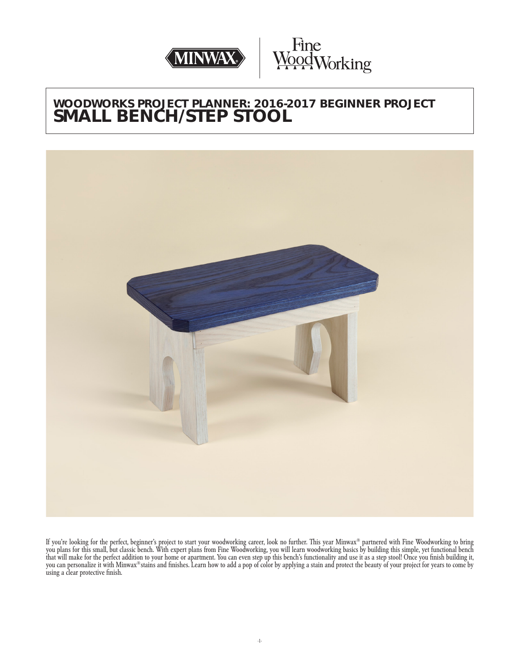



# **WOODWORKS PROJECT PLANNER: 2016-2017 BEGINNER PROJECT SMALL BENCH/STEP STOOL**



If you're looking for the perfect, beginner's project to start your woodworking career, look no further. This year Minwax® partnered with Fine Woodworking to bring you plans for this small, but classic bench. With expert plans from Fine Woodworking, you will learn woodworking basics by building this simple, yet functional bench that will make for the perfect addition to your home or apartment. You can even step up this bench's functionality and use it as a step stool! Once you finish building it, you can personalize it with Minwax® stains and finishes. Learn how to add a pop of color by applying a stain and protect the beauty of your project for years to come by using a clear protective finish.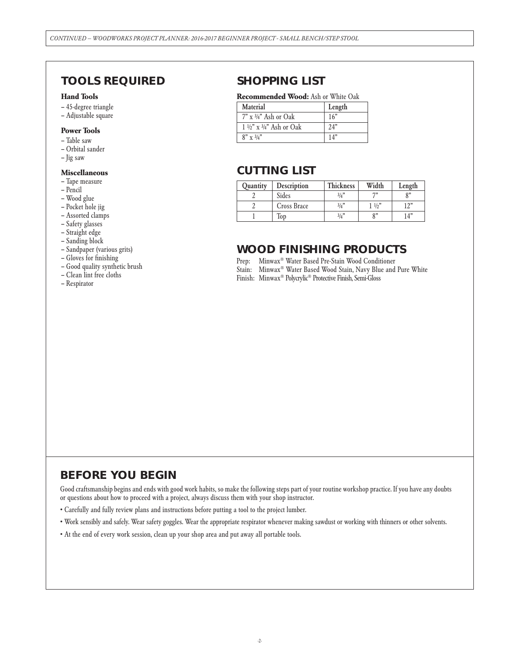# **TOOLS REQUIRED**

#### **Hand Tools**

- 45-degree triangle
- Adjustable square

### **Power Tools**

- Table saw
- Orbital sander
- Jig saw

#### **Miscellaneous**

- Tape measure
- Pencil
- Wood glue
- Pocket hole jig
- Assorted clamps
- Safety glasses
- Straight edge
- Sanding block
- Sandpaper (various grits)
- Gloves for finishing
- Good quality synthetic brush
- Clean lint free cloths
- Respirator

### **SHOPPING LIST**

#### **Recommended Wood:** Ash or White Oak

| Material                                  | Length |
|-------------------------------------------|--------|
| $7" \times 3/4"$ Ash or Oak               | 16"    |
| $1\frac{1}{2}$ x $\frac{3}{4}$ Ash or Oak | 24"    |
| $8'' \times 3/4"$                         | 14"    |

### **CUTTING LIST**

| <b>Quantity</b> | Description | <b>Thickness</b> | Width          | Length          |
|-----------------|-------------|------------------|----------------|-----------------|
|                 | Sides       | 3/4"             | <b>733</b>     | O <sup>33</sup> |
|                 | Cross Brace | 3/4"             | $1\frac{1}{2}$ | 12"             |
|                 | lop         | 3/4"             | $^{\circ}$     | 14"             |

### **WOOD FINISHING PRODUCTS**

Prep: Minwax® Water Based Pre-Stain Wood Conditioner

- Stain: Minwax® Water Based Wood Stain, Navy Blue and Pure White
- Finish: Minwax® Polycrylic® Protective Finish, Semi-Gloss

### **BEFORE YOU BEGIN**

Good craftsmanship begins and ends with good work habits, so make the following steps part of your routine workshop practice. If you have any doubts or questions about how to proceed with a project, always discuss them with your shop instructor.

- Carefully and fully review plans and instructions before putting a tool to the project lumber.
- Work sensibly and safely. Wear safety goggles. Wear the appropriate respirator whenever making sawdust or working with thinners or other solvents.
- At the end of every work session, clean up your shop area and put away all portable tools.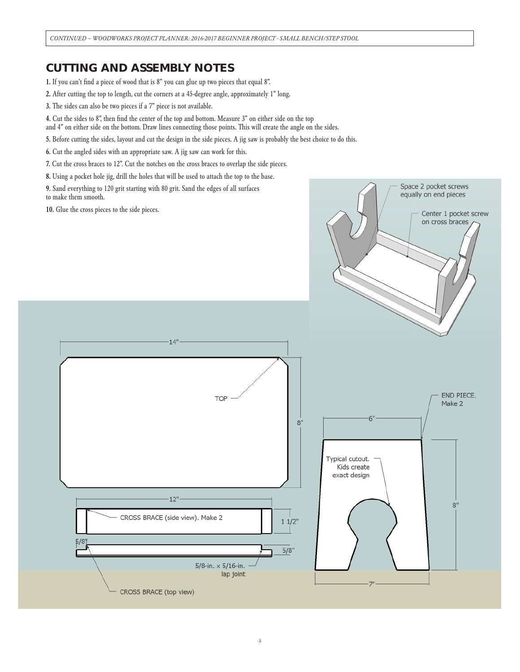# **CUTTING AND ASSEMBLY NOTES**

1. If you can't find a piece of wood that is 8" you can glue up two pieces that equal 8".

- 2. After cutting the top to length, cut the corners at a 45-degree angle, approximately 1" long.
- 3. The sides can also be two pieces if a 7" piece is not available.
- 4. Cut the sides to 8", then find the center of the top and bottom. Measure 3" on either side on the top
- and 4" on either side on the bottom. Draw lines connecting those points. This will create the angle on the sides.
- 5. Before cutting the sides, layout and cut the design in the side pieces. A jig saw is probably the best choice to do this.
- 6. Cut the angled sides with an appropriate saw. A jig saw can work for this.
- 7. Cut the cross braces to 12". Cut the notches on the cross braces to overlap the side pieces.
- 8. Using a pocket hole jig, drill the holes that will be used to attach the top to the base.
- 9. Sand everything to 120 grit starting with 80 grit. Sand the edges of all surfaces to make them smooth.

10. Glue the cross pieces to the side pieces.



Space 2 pocket screws equally on end pieces